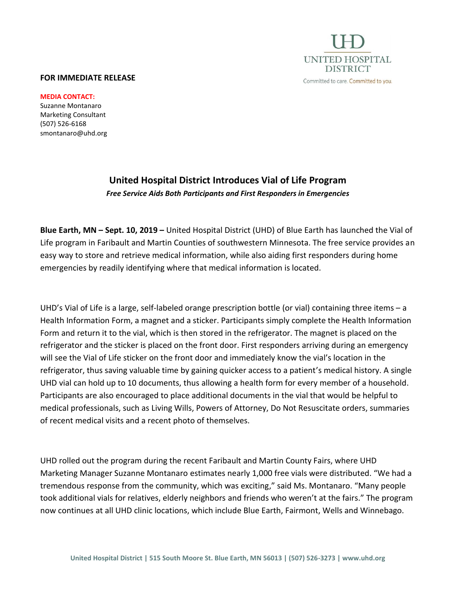

## **FOR IMMEDIATE RELEASE**

**MEDIA CONTACT:**

Suzanne Montanaro Marketing Consultant (507) 526-6168 smontanaro@uhd.org

## **United Hospital District Introduces Vial of Life Program** *Free Service Aids Both Participants and First Responders in Emergencies*

**Blue Earth, MN – Sept. 10, 2019 –** United Hospital District (UHD) of Blue Earth has launched the Vial of Life program in Faribault and Martin Counties of southwestern Minnesota. The free service provides an easy way to store and retrieve medical information, while also aiding first responders during home emergencies by readily identifying where that medical information is located.

UHD's Vial of Life is a large, self-labeled orange prescription bottle (or vial) containing three items – a Health Information Form, a magnet and a sticker. Participants simply complete the Health Information Form and return it to the vial, which is then stored in the refrigerator. The magnet is placed on the refrigerator and the sticker is placed on the front door. First responders arriving during an emergency will see the Vial of Life sticker on the front door and immediately know the vial's location in the refrigerator, thus saving valuable time by gaining quicker access to a patient's medical history. A single UHD vial can hold up to 10 documents, thus allowing a health form for every member of a household. Participants are also encouraged to place additional documents in the vial that would be helpful to medical professionals, such as Living Wills, Powers of Attorney, Do Not Resuscitate orders, summaries of recent medical visits and a recent photo of themselves.

UHD rolled out the program during the recent Faribault and Martin County Fairs, where UHD Marketing Manager Suzanne Montanaro estimates nearly 1,000 free vials were distributed. "We had a tremendous response from the community, which was exciting," said Ms. Montanaro. "Many people took additional vials for relatives, elderly neighbors and friends who weren't at the fairs." The program now continues at all UHD clinic locations, which include Blue Earth, Fairmont, Wells and Winnebago.